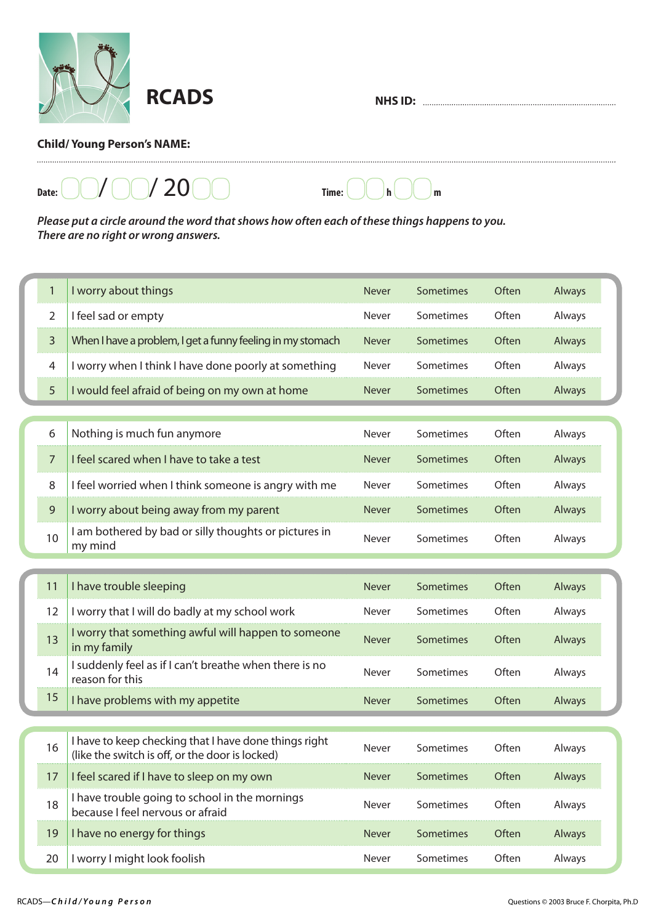

**NHS ID:** 

## **Child/ Young Person's NAME:**

 $D$ <sub>Date:</sub>  $\bigcap$  /  $\bigcap$  /  $\bigcap$  /  $\bigcap$   $\bigcap$   $\bigcap$   $\bigcap$   $\bigcap$   $\bigcap$   $\bigcap$   $\bigcap$   $\bigcap$   $\bigcap$   $\bigcap$   $\bigcap$   $\bigcap$   $\bigcap$   $\bigcap$   $\bigcap$   $\bigcap$   $\bigcap$   $\bigcap$   $\bigcap$   $\bigcap$   $\bigcap$   $\bigcap$   $\bigcap$   $\bigcap$   $\bigcap$   $\bigcap$   $\bigcap$   $\bigcap$   $\bigcap$   $\bigcap$ 

*Please put a circle around the word that shows how often each of these things happens to you. There are no right or wrong answers.*

| 1  | I worry about things                                                                                     | <b>Never</b> | Sometimes | Often | Always |
|----|----------------------------------------------------------------------------------------------------------|--------------|-----------|-------|--------|
| 2  | I feel sad or empty                                                                                      | Never        | Sometimes | Often | Always |
| 3  | When I have a problem, I get a funny feeling in my stomach                                               | <b>Never</b> | Sometimes | Often | Always |
| 4  | I worry when I think I have done poorly at something                                                     | Never        | Sometimes | Often | Always |
| 5  | I would feel afraid of being on my own at home                                                           | Never        | Sometimes | Often | Always |
|    |                                                                                                          |              |           |       |        |
| 6  | Nothing is much fun anymore                                                                              | Never        | Sometimes | Often | Always |
| 7  | I feel scared when I have to take a test                                                                 | <b>Never</b> | Sometimes | Often | Always |
| 8  | I feel worried when I think someone is angry with me                                                     | Never        | Sometimes | Often | Always |
| 9  | I worry about being away from my parent                                                                  | Never        | Sometimes | Often | Always |
| 10 | I am bothered by bad or silly thoughts or pictures in<br>my mind                                         | Never        | Sometimes | Often | Always |
|    |                                                                                                          |              |           |       |        |
| 11 | I have trouble sleeping                                                                                  | Never        | Sometimes | Often | Always |
| 12 | I worry that I will do badly at my school work                                                           | Never        | Sometimes | Often | Always |
| 13 | I worry that something awful will happen to someone<br>in my family                                      | <b>Never</b> | Sometimes | Often | Always |
| 14 | I suddenly feel as if I can't breathe when there is no<br>reason for this                                | Never        | Sometimes | Often | Always |
| 15 | I have problems with my appetite                                                                         | <b>Never</b> | Sometimes | Often | Always |
|    |                                                                                                          |              |           |       |        |
| 16 | I have to keep checking that I have done things right<br>(like the switch is off, or the door is locked) | Never        | Sometimes | Often | Always |
| 17 | I feel scared if I have to sleep on my own                                                               | Never        | Sometimes | Often | Always |
| 18 | I have trouble going to school in the mornings<br>because I feel nervous or afraid                       | Never        | Sometimes | Often | Always |
| 19 | I have no energy for things                                                                              | Never        | Sometimes | Often | Always |
| 20 | I worry I might look foolish                                                                             | Never        | Sometimes | Often | Always |